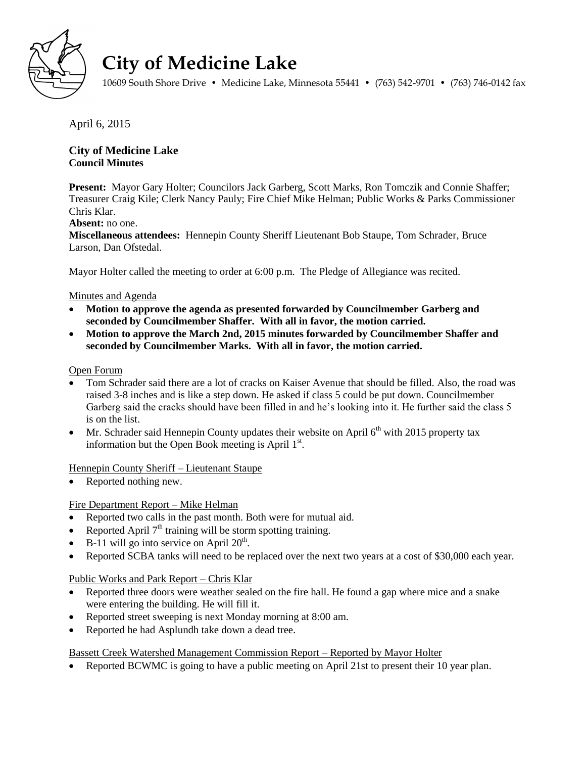

# **City of Medicine Lake**

10609 South Shore Drive • Medicine Lake, Minnesota 55441 • (763) 542-9701 • (763) 746-0142 fax

April 6, 2015

## **City of Medicine Lake Council Minutes**

**Present:** Mayor Gary Holter; Councilors Jack Garberg, Scott Marks, Ron Tomczik and Connie Shaffer; Treasurer Craig Kile; Clerk Nancy Pauly; Fire Chief Mike Helman; Public Works & Parks Commissioner Chris Klar.

## **Absent:** no one.

**Miscellaneous attendees:** Hennepin County Sheriff Lieutenant Bob Staupe, Tom Schrader, Bruce Larson, Dan Ofstedal.

Mayor Holter called the meeting to order at 6:00 p.m. The Pledge of Allegiance was recited.

## Minutes and Agenda

- **Motion to approve the agenda as presented forwarded by Councilmember Garberg and seconded by Councilmember Shaffer. With all in favor, the motion carried.**
- **Motion to approve the March 2nd, 2015 minutes forwarded by Councilmember Shaffer and seconded by Councilmember Marks. With all in favor, the motion carried.**

## Open Forum

- Tom Schrader said there are a lot of cracks on Kaiser Avenue that should be filled. Also, the road was raised 3-8 inches and is like a step down. He asked if class 5 could be put down. Councilmember Garberg said the cracks should have been filled in and he's looking into it. He further said the class 5 is on the list.
- Mr. Schrader said Hennepin County updates their website on April  $6<sup>th</sup>$  with 2015 property tax information but the Open Book meeting is April  $1<sup>st</sup>$ .

Hennepin County Sheriff – Lieutenant Staupe

Reported nothing new.

## Fire Department Report – Mike Helman

- Reported two calls in the past month. Both were for mutual aid.
- Reported April  $7<sup>th</sup>$  training will be storm spotting training.
- $\bullet$  B-11 will go into service on April 20<sup>th</sup>.
- Reported SCBA tanks will need to be replaced over the next two years at a cost of \$30,000 each year.

Public Works and Park Report – Chris Klar

- Reported three doors were weather sealed on the fire hall. He found a gap where mice and a snake were entering the building. He will fill it.
- Reported street sweeping is next Monday morning at 8:00 am.
- Reported he had Asplundh take down a dead tree.

Bassett Creek Watershed Management Commission Report – Reported by Mayor Holter

Reported BCWMC is going to have a public meeting on April 21st to present their 10 year plan.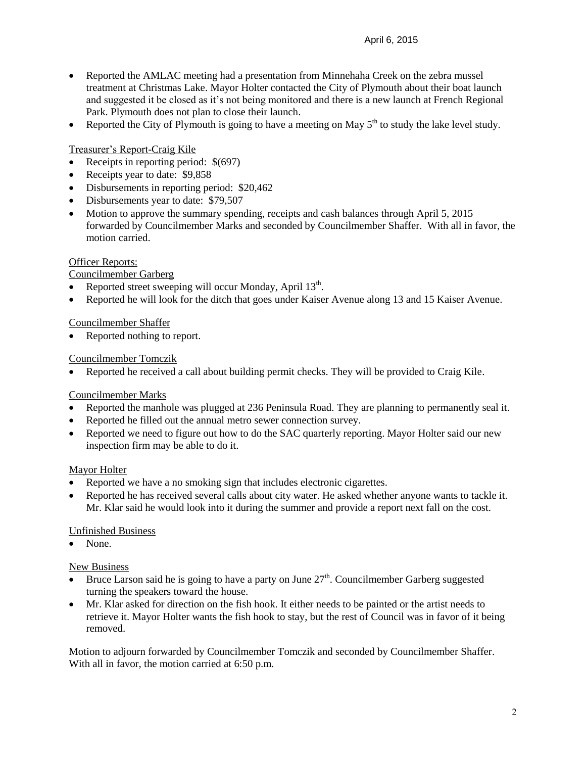- Reported the AMLAC meeting had a presentation from Minnehaha Creek on the zebra mussel treatment at Christmas Lake. Mayor Holter contacted the City of Plymouth about their boat launch and suggested it be closed as it's not being monitored and there is a new launch at French Regional Park. Plymouth does not plan to close their launch.
- Reported the City of Plymouth is going to have a meeting on May  $5<sup>th</sup>$  to study the lake level study.

Treasurer's Report-Craig Kile

- Receipts in reporting period:  $$(697)$
- Receipts year to date: \$9,858
- Disbursements in reporting period: \$20,462
- Disbursements year to date: \$79,507
- Motion to approve the summary spending, receipts and cash balances through April 5, 2015 forwarded by Councilmember Marks and seconded by Councilmember Shaffer. With all in favor, the motion carried.

#### Officer Reports:

Councilmember Garberg

- Reported street sweeping will occur Monday, April  $13<sup>th</sup>$ .
- Reported he will look for the ditch that goes under Kaiser Avenue along 13 and 15 Kaiser Avenue.

#### Councilmember Shaffer

• Reported nothing to report.

#### Councilmember Tomczik

Reported he received a call about building permit checks. They will be provided to Craig Kile.

#### Councilmember Marks

- Reported the manhole was plugged at 236 Peninsula Road. They are planning to permanently seal it.
- Reported he filled out the annual metro sewer connection survey.
- Reported we need to figure out how to do the SAC quarterly reporting. Mayor Holter said our new inspection firm may be able to do it.

#### Mayor Holter

- Reported we have a no smoking sign that includes electronic cigarettes.
- Reported he has received several calls about city water. He asked whether anyone wants to tackle it. Mr. Klar said he would look into it during the summer and provide a report next fall on the cost.

#### Unfinished Business

None.

#### New Business

- $\bullet$  Bruce Larson said he is going to have a party on June  $27<sup>th</sup>$ . Councilmember Garberg suggested turning the speakers toward the house.
- Mr. Klar asked for direction on the fish hook. It either needs to be painted or the artist needs to retrieve it. Mayor Holter wants the fish hook to stay, but the rest of Council was in favor of it being removed.

Motion to adjourn forwarded by Councilmember Tomczik and seconded by Councilmember Shaffer. With all in favor, the motion carried at 6:50 p.m.